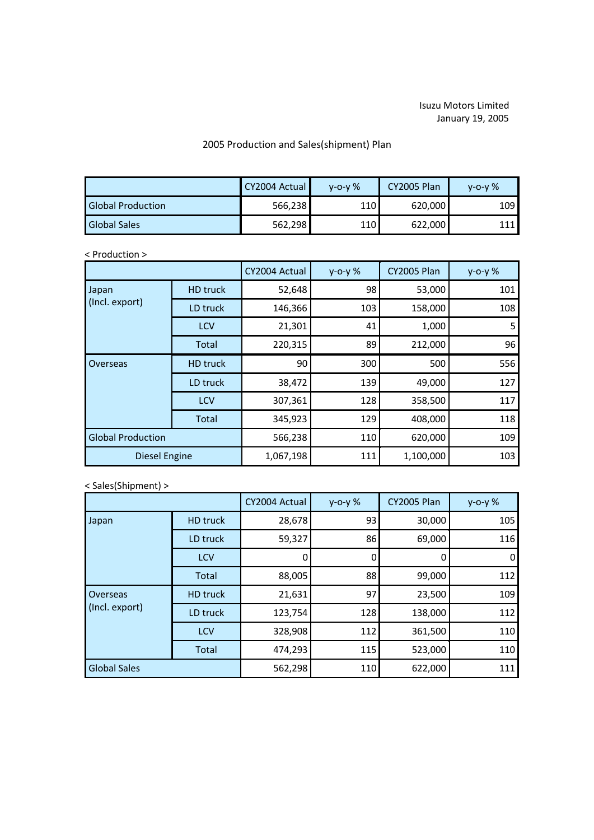## Isuzu Motors Limited January 19, 2005

## 2005 Production and Sales(shipment) Plan

|                          | CY2004 Actual | $V - O - V$ % | <b>CY2005 Plan</b> | $V - O - V$ % |
|--------------------------|---------------|---------------|--------------------|---------------|
| <b>Global Production</b> | 566,238       | 110           | 620,000            | 1091          |
| <b>Global Sales</b>      | 562,298       | 110           | 622,000            | 111<br>┸┸┸    |

## < Production >

|                          |                 | CY2004 Actual | $y - 0 - y$ % | CY2005 Plan | y-o-y % |
|--------------------------|-----------------|---------------|---------------|-------------|---------|
| Japan<br>(Incl. export)  | <b>HD</b> truck | 52,648        | 98            | 53,000      | 101     |
|                          | LD truck        | 146,366       | 103           | 158,000     | 108     |
|                          | <b>LCV</b>      | 21,301        | 41            | 1,000       | 5       |
|                          | Total           | 220,315       | 89            | 212,000     | 96      |
| Overseas                 | <b>HD</b> truck | 90            | 300           | 500         | 556     |
|                          | LD truck        | 38,472        | 139           | 49,000      | 127     |
|                          | LCV             | 307,361       | 128           | 358,500     | 117     |
|                          | Total           | 345,923       | 129           | 408,000     | 118     |
| <b>Global Production</b> |                 | 566,238       | 110           | 620,000     | 109     |
| <b>Diesel Engine</b>     |                 | 1,067,198     | 111           | 1,100,000   | 103     |

## < Sales(Shipment) >

|                            |                 | CY2004 Actual | $y - 0 - y$ % | CY2005 Plan | $y - 0 - y$ % |
|----------------------------|-----------------|---------------|---------------|-------------|---------------|
| Japan                      | <b>HD</b> truck | 28,678        | 93            | 30,000      | 105           |
|                            | LD truck        | 59,327        | 86            | 69,000      | 116           |
|                            | <b>LCV</b>      | O             | 0             | 0           | 0             |
|                            | Total           | 88,005        | 88            | 99,000      | 112           |
| Overseas<br>(Incl. export) | <b>HD</b> truck | 21,631        | 97            | 23,500      | 109           |
|                            | LD truck        | 123,754       | 128           | 138,000     | 112           |
|                            | LCV             | 328,908       | 112           | 361,500     | 110           |
|                            | Total           | 474,293       | 115           | 523,000     | 110           |
| <b>Global Sales</b>        |                 | 562,298       | 110           | 622,000     | 111           |